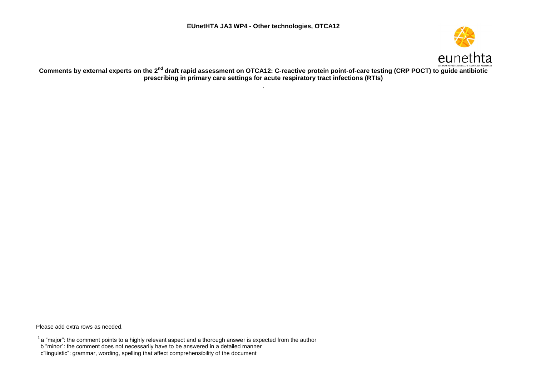

**Comments by external experts on the 2nd draft rapid assessment on OTCA12: C-reactive protein point-of-care testing (CRP POCT) to guide antibiotic prescribing in primary care settings for acute respiratory tract infections (RTIs)** .

Please add extra rows as needed.

 $1$  a "major": the comment points to a highly relevant aspect and a thorough answer is expected from the author

b "minor": the comment does not necessarily have to be answered in a detailed manner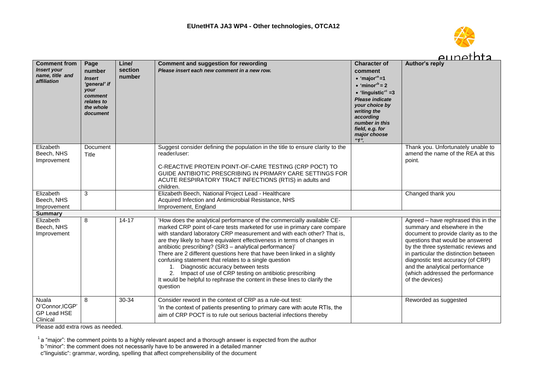

|                                                                             |                                                                                                           |                            |                                                                                                                                                                                                                                                                                                                                                                                                                                                                                                                                                                                                                                                                                                         |                                                                                                                                                                                                                                                                                     | eunethra                                                                                                                                                                                                                                                                                                                                                       |
|-----------------------------------------------------------------------------|-----------------------------------------------------------------------------------------------------------|----------------------------|---------------------------------------------------------------------------------------------------------------------------------------------------------------------------------------------------------------------------------------------------------------------------------------------------------------------------------------------------------------------------------------------------------------------------------------------------------------------------------------------------------------------------------------------------------------------------------------------------------------------------------------------------------------------------------------------------------|-------------------------------------------------------------------------------------------------------------------------------------------------------------------------------------------------------------------------------------------------------------------------------------|----------------------------------------------------------------------------------------------------------------------------------------------------------------------------------------------------------------------------------------------------------------------------------------------------------------------------------------------------------------|
| <b>Comment from</b><br><b>Insert your</b><br>name, title and<br>affiliation | Page<br>number<br><b>Insert</b><br>'general' if<br>your<br>comment<br>relates to<br>the whole<br>document | Line/<br>section<br>number | <b>Comment and suggestion for rewording</b><br>Please insert each new comment in a new row.                                                                                                                                                                                                                                                                                                                                                                                                                                                                                                                                                                                                             | <b>Character of</b><br>comment<br>• 'major' <sup>a</sup> =1<br>$\bullet$ 'minor' <sup>b</sup> = 2<br>$\bullet$ 'linguistic' <sup>c</sup> =3<br><b>Please indicate</b><br>your choice by<br>writing the<br>according<br>number in this<br>field, e.g. for<br>major choose<br>$"1"$ . | Author's reply                                                                                                                                                                                                                                                                                                                                                 |
| Elizabeth<br>Beech, NHS<br>Improvement                                      | Document<br>Title                                                                                         |                            | Suggest consider defining the population in the title to ensure clarity to the<br>reader/user:<br>C-REACTIVE PROTEIN POINT-OF-CARE TESTING (CRP POCT) TO<br>GUIDE ANTIBIOTIC PRESCRIBING IN PRIMARY CARE SETTINGS FOR<br>ACUTE RESPIRATORY TRACT INFECTIONS (RTIS) in adults and<br>children.                                                                                                                                                                                                                                                                                                                                                                                                           |                                                                                                                                                                                                                                                                                     | Thank you. Unfortunately unable to<br>amend the name of the REA at this<br>point.                                                                                                                                                                                                                                                                              |
| Elizabeth<br>Beech, NHS<br>Improvement                                      | 3                                                                                                         |                            | Elizabeth Beech, National Project Lead - Healthcare<br>Acquired Infection and Antimicrobial Resistance, NHS<br>Improvement, England                                                                                                                                                                                                                                                                                                                                                                                                                                                                                                                                                                     |                                                                                                                                                                                                                                                                                     | Changed thank you                                                                                                                                                                                                                                                                                                                                              |
| <b>Summary</b>                                                              |                                                                                                           |                            |                                                                                                                                                                                                                                                                                                                                                                                                                                                                                                                                                                                                                                                                                                         |                                                                                                                                                                                                                                                                                     |                                                                                                                                                                                                                                                                                                                                                                |
| Elizabeth<br>Beech, NHS<br>Improvement                                      | 8                                                                                                         | $14 - 17$                  | 'How does the analytical performance of the commercially available CE-<br>marked CRP point of-care tests marketed for use in primary care compare<br>with standard laboratory CRP measurement and with each other? That is,<br>are they likely to have equivalent effectiveness in terms of changes in<br>antibiotic prescribing? (SR3 - analytical performance)'<br>There are 2 different questions here that have been linked in a slightly<br>confusing statement that relates to a single question<br>Diagnostic accuracy between tests<br>1.<br>2. Impact of use of CRP testing on antibiotic prescribing<br>It would be helpful to rephrase the content in these lines to clarify the<br>question |                                                                                                                                                                                                                                                                                     | Agreed - have rephrased this in the<br>summary and elsewhere in the<br>document to provide clarity as to the<br>questions that would be answered<br>by the three systematic reviews and<br>in particular the distinction between<br>diagnostic test accuracy (of CRP)<br>and the analytical performance<br>(which addressed the performance<br>of the devices) |
| <b>Nuala</b><br>O'Connor, ICGP'<br><b>GP Lead HSE</b><br>Clinical           | 8                                                                                                         | 30-34                      | Consider reword in the context of CRP as a rule-out test:<br>'In the context of patients presenting to primary care with acute RTIs, the<br>aim of CRP POCT is to rule out serious bacterial infections thereby                                                                                                                                                                                                                                                                                                                                                                                                                                                                                         |                                                                                                                                                                                                                                                                                     | Reworded as suggested                                                                                                                                                                                                                                                                                                                                          |

 $1$  a "major": the comment points to a highly relevant aspect and a thorough answer is expected from the author

b "minor": the comment does not necessarily have to be answered in a detailed manner

c"linguistic": grammar, wording, spelling that affect comprehensibility of the document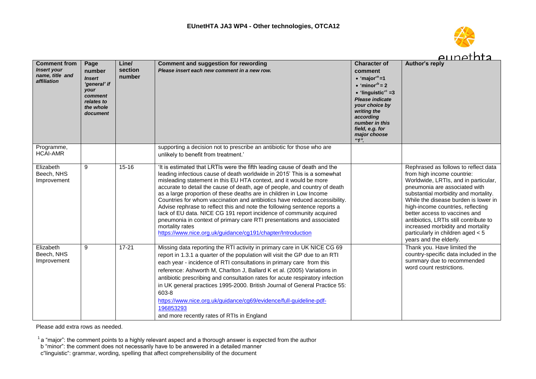

|                                                                             |                                                                                                           |                            |                                                                                                                                                                                                                                                                                                                                                                                                                                                                                                                                                                                                                                                                                                                                                                             |                                                                                                                                                                                                                                                                                  | <u>Alinethta</u>                                                                                                                                                                                                                                                                                                                                                                                                                                |
|-----------------------------------------------------------------------------|-----------------------------------------------------------------------------------------------------------|----------------------------|-----------------------------------------------------------------------------------------------------------------------------------------------------------------------------------------------------------------------------------------------------------------------------------------------------------------------------------------------------------------------------------------------------------------------------------------------------------------------------------------------------------------------------------------------------------------------------------------------------------------------------------------------------------------------------------------------------------------------------------------------------------------------------|----------------------------------------------------------------------------------------------------------------------------------------------------------------------------------------------------------------------------------------------------------------------------------|-------------------------------------------------------------------------------------------------------------------------------------------------------------------------------------------------------------------------------------------------------------------------------------------------------------------------------------------------------------------------------------------------------------------------------------------------|
| <b>Comment from</b><br><b>Insert your</b><br>name, title and<br>affiliation | Page<br>number<br><b>Insert</b><br>'general' if<br>your<br>comment<br>relates to<br>the whole<br>document | Line/<br>section<br>number | <b>Comment and suggestion for rewording</b><br>Please insert each new comment in a new row.                                                                                                                                                                                                                                                                                                                                                                                                                                                                                                                                                                                                                                                                                 | <b>Character of</b><br>comment<br>$\bullet$ 'maior' <sup>a</sup> =1<br>$\bullet$ 'minor' <sup>b</sup> = 2<br>$\bullet$ 'linguistic' <sup>c</sup> =3<br>Please indicate<br>your choice by<br>writing the<br>according<br>number in this<br>field, e.g. for<br>major choose<br>"1" | Author's reply                                                                                                                                                                                                                                                                                                                                                                                                                                  |
| Programme,<br><b>HCAI-AMR</b>                                               |                                                                                                           |                            | supporting a decision not to prescribe an antibiotic for those who are<br>unlikely to benefit from treatment.'                                                                                                                                                                                                                                                                                                                                                                                                                                                                                                                                                                                                                                                              |                                                                                                                                                                                                                                                                                  |                                                                                                                                                                                                                                                                                                                                                                                                                                                 |
| Elizabeth<br>Beech, NHS<br>Improvement                                      | 9                                                                                                         | $15 - 16$                  | 'It is estimated that LRTIs were the fifth leading cause of death and the<br>leading infectious cause of death worldwide in 2015' This is a somewhat<br>misleading statement in this EU HTA context, and it would be more<br>accurate to detail the cause of death, age of people, and country of death<br>as a large proportion of these deaths are in children in Low Income<br>Countries for whom vaccination and antibiotics have reduced accessibility.<br>Advise rephrase to reflect this and note the following sentence reports a<br>lack of EU data. NICE CG 191 report incidence of community acquired<br>pneumonia in context of primary care RTI presentations and associated<br>mortality rates<br>https://www.nice.org.uk/guidance/cg191/chapter/Introduction |                                                                                                                                                                                                                                                                                  | Rephrased as follows to reflect data<br>from high income countrie:<br>Worldwide, LRTIs, and in particular,<br>pneumonia are associated with<br>substantial morbidity and mortality.<br>While the disease burden is lower in<br>high-income countries, reflecting<br>better access to vaccines and<br>antibiotics, LRTIs still contribute to<br>increased morbidity and mortality<br>particularly in children aged < 5<br>years and the elderly. |
| Elizabeth<br>Beech, NHS<br>Improvement                                      | 9                                                                                                         | $17 - 21$                  | Missing data reporting the RTI activity in primary care in UK NICE CG 69<br>report in 1.3.1 a quarter of the population will visit the GP due to an RTI<br>each year - incidence of RTI consultations in primary care from this<br>reference: Ashworth M, Charlton J, Ballard K et al. (2005) Variations in<br>antibiotic prescribing and consultation rates for acute respiratory infection<br>in UK general practices 1995-2000. British Journal of General Practice 55:<br>603-8<br>https://www.nice.org.uk/guidance/cg69/evidence/full-guideline-pdf-<br>196853293<br>and more recently rates of RTIs in England                                                                                                                                                        |                                                                                                                                                                                                                                                                                  | Thank you. Have limited the<br>country-specific data included in the<br>summary due to recommended<br>word count restrictions.                                                                                                                                                                                                                                                                                                                  |

 $1$  a "major": the comment points to a highly relevant aspect and a thorough answer is expected from the author

b "minor": the comment does not necessarily have to be answered in a detailed manner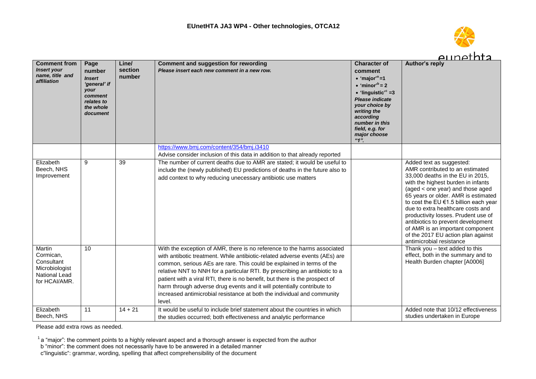

|                                                                                       |                                                                                                           |                            |                                                                                                                                                                                                                                                                                                                                                                                                                                                                                                                                                               |                                                                                                                                                                                                                                                                                  | <u>aunethta</u>                                                                                                                                                                                                                                                                                                                                                                                                                                                                   |
|---------------------------------------------------------------------------------------|-----------------------------------------------------------------------------------------------------------|----------------------------|---------------------------------------------------------------------------------------------------------------------------------------------------------------------------------------------------------------------------------------------------------------------------------------------------------------------------------------------------------------------------------------------------------------------------------------------------------------------------------------------------------------------------------------------------------------|----------------------------------------------------------------------------------------------------------------------------------------------------------------------------------------------------------------------------------------------------------------------------------|-----------------------------------------------------------------------------------------------------------------------------------------------------------------------------------------------------------------------------------------------------------------------------------------------------------------------------------------------------------------------------------------------------------------------------------------------------------------------------------|
| <b>Comment from</b><br><b>Insert your</b><br>name, title and<br>affiliation           | Page<br>number<br><b>Insert</b><br>'general' if<br>your<br>comment<br>relates to<br>the whole<br>document | Line/<br>section<br>number | <b>Comment and suggestion for rewording</b><br>Please insert each new comment in a new row.                                                                                                                                                                                                                                                                                                                                                                                                                                                                   | <b>Character of</b><br>comment<br>$\bullet$ 'major' <sup>a</sup> =1<br>$\bullet$ 'minor' <sup>b</sup> = 2<br>$\bullet$ 'linguistic' <sup>c</sup> =3<br>Please indicate<br>your choice by<br>writing the<br>according<br>number in this<br>field, e.g. for<br>major choose<br>"1" | <b>Author's reply</b>                                                                                                                                                                                                                                                                                                                                                                                                                                                             |
|                                                                                       |                                                                                                           |                            | https://www.bmj.com/content/354/bmj.i3410                                                                                                                                                                                                                                                                                                                                                                                                                                                                                                                     |                                                                                                                                                                                                                                                                                  |                                                                                                                                                                                                                                                                                                                                                                                                                                                                                   |
|                                                                                       |                                                                                                           |                            | Advise consider inclusion of this data in addition to that already reported                                                                                                                                                                                                                                                                                                                                                                                                                                                                                   |                                                                                                                                                                                                                                                                                  |                                                                                                                                                                                                                                                                                                                                                                                                                                                                                   |
| Elizabeth<br>Beech, NHS<br>Improvement                                                | 9                                                                                                         | 39                         | The number of current deaths due to AMR are stated; it would be useful to<br>include the (newly published) EU predictions of deaths in the future also to<br>add context to why reducing unecessary antibiotic use matters                                                                                                                                                                                                                                                                                                                                    |                                                                                                                                                                                                                                                                                  | Added text as suggested:<br>AMR contributed to an estimated<br>33,000 deaths in the EU in 2015,<br>with the highest burden in infants<br>(aged < one year) and those aged<br>65 years or older. AMR is estimated<br>to cost the EU €1.5 billion each year<br>due to extra healthcare costs and<br>productivity losses. Prudent use of<br>antibiotics to prevent development<br>of AMR is an important component<br>of the 2017 EU action plan against<br>antimicrobial resistance |
| Martin<br>Cormican,<br>Consultant<br>Microbiologist<br>National Lead<br>for HCAI/AMR. | 10                                                                                                        |                            | With the exception of AMR, there is no reference to the harms associated<br>with antibotic treatment. While antibiotic-related adverse events (AEs) are<br>common, serious AEs are rare. This could be explained in terms of the<br>relative NNT to NNH for a particular RTI. By prescribing an antibiotic to a<br>patient with a viral RTI, there is no benefit, but there is the prospect of<br>harm through adverse drug events and it will potentially contribute to<br>increased antimicrobial resistance at both the individual and community<br>level. |                                                                                                                                                                                                                                                                                  | Thank you - text added to this<br>effect, both in the summary and to<br>Health Burden chapter [A0006]                                                                                                                                                                                                                                                                                                                                                                             |
| Elizabeth<br>Beech, NHS                                                               | 11                                                                                                        | $14 + 21$                  | It would be useful to include brief statement about the countries in which<br>the studies occurred; both effectiveness and analytic performance                                                                                                                                                                                                                                                                                                                                                                                                               |                                                                                                                                                                                                                                                                                  | Added note that 10/12 effectiveness<br>studies undertaken in Europe                                                                                                                                                                                                                                                                                                                                                                                                               |

- b "minor": the comment does not necessarily have to be answered in a detailed manner
- c"linguistic": grammar, wording, spelling that affect comprehensibility of the document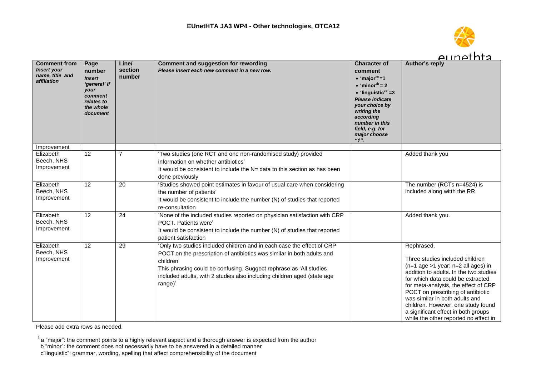

|                                                                             |                                                                                                           |                            |                                                                                                                                                                                                                                                                                                                           |                                                                                                                                                                                                                                                                                         | <u>Alinethta</u>                                                                                                                                                                                                                                                                                                                                                                                            |
|-----------------------------------------------------------------------------|-----------------------------------------------------------------------------------------------------------|----------------------------|---------------------------------------------------------------------------------------------------------------------------------------------------------------------------------------------------------------------------------------------------------------------------------------------------------------------------|-----------------------------------------------------------------------------------------------------------------------------------------------------------------------------------------------------------------------------------------------------------------------------------------|-------------------------------------------------------------------------------------------------------------------------------------------------------------------------------------------------------------------------------------------------------------------------------------------------------------------------------------------------------------------------------------------------------------|
| <b>Comment from</b><br><b>Insert your</b><br>name, title and<br>affiliation | Page<br>number<br><b>Insert</b><br>'general' if<br>your<br>comment<br>relates to<br>the whole<br>document | Line/<br>section<br>number | <b>Comment and suggestion for rewording</b><br>Please insert each new comment in a new row.                                                                                                                                                                                                                               | <b>Character of</b><br>comment<br>$\bullet$ 'major' <sup>a</sup> =1<br>$\bullet$ 'minor' <sup>b</sup> = 2<br>$\bullet$ 'linguistic' <sup>c</sup> =3<br><b>Please indicate</b><br>your choice by<br>writing the<br>according<br>number in this<br>field, e.g. for<br>major choose<br>"1" | Author's reply                                                                                                                                                                                                                                                                                                                                                                                              |
| Improvement                                                                 |                                                                                                           |                            |                                                                                                                                                                                                                                                                                                                           |                                                                                                                                                                                                                                                                                         |                                                                                                                                                                                                                                                                                                                                                                                                             |
| Elizabeth<br>Beech, NHS<br>Improvement                                      | 12                                                                                                        | $\overline{7}$             | 'Two studies (one RCT and one non-randomised study) provided<br>information on whether antibiotics'<br>It would be consistent to include the N= data to this section as has been<br>done previously                                                                                                                       |                                                                                                                                                                                                                                                                                         | Added thank you                                                                                                                                                                                                                                                                                                                                                                                             |
| Elizabeth<br>Beech, NHS<br>Improvement                                      | 12                                                                                                        | 20                         | 'Studies showed point estimates in favour of usual care when considering<br>the number of patients'<br>It would be consistent to include the number (N) of studies that reported<br>re-consultation                                                                                                                       |                                                                                                                                                                                                                                                                                         | The number (RCTs n=4524) is<br>included along witth the RR.                                                                                                                                                                                                                                                                                                                                                 |
| Elizabeth<br>Beech, NHS<br>Improvement                                      | $\overline{12}$                                                                                           | 24                         | 'None of the included studies reported on physician satisfaction with CRP<br>POCT. Patients were'<br>It would be consistent to include the number (N) of studies that reported<br>patient satisfaction                                                                                                                    |                                                                                                                                                                                                                                                                                         | Added thank you.                                                                                                                                                                                                                                                                                                                                                                                            |
| Elizabeth<br>Beech, NHS<br>Improvement                                      | $\overline{12}$                                                                                           | 29                         | 'Only two studies included children and in each case the effect of CRP<br>POCT on the prescription of antibiotics was similar in both adults and<br>children'<br>This phrasing could be confusing. Suggect rephrase as 'All studies<br>included adults, with 2 studies also including children aged (state age<br>range)' |                                                                                                                                                                                                                                                                                         | Rephrased.<br>Three studies included children<br>$(n=1$ age >1 year; $n=2$ all ages) in<br>addition to adults. In the two studies<br>for which data could be extracted<br>for meta-analysis, the effect of CRP<br>POCT on prescribing of antibiotic<br>was similar in both adults and<br>children. However, one study found<br>a significant effect in both groups<br>while the other reported no effect in |

 $1$  a "major": the comment points to a highly relevant aspect and a thorough answer is expected from the author

b "minor": the comment does not necessarily have to be answered in a detailed manner

c"linguistic": grammar, wording, spelling that affect comprehensibility of the document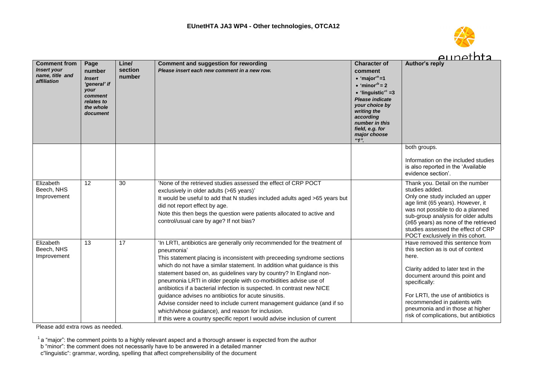

|                                                                             |                                                                                                           |                            |                                                                                                                                                                                                                                                                                                                                                                                                                                                                                                                                                                                                                                                                                                                                          |                                                                                                                                                                                                                                                                                       | eunethta                                                                                                                                                                                                                                                                                                                    |
|-----------------------------------------------------------------------------|-----------------------------------------------------------------------------------------------------------|----------------------------|------------------------------------------------------------------------------------------------------------------------------------------------------------------------------------------------------------------------------------------------------------------------------------------------------------------------------------------------------------------------------------------------------------------------------------------------------------------------------------------------------------------------------------------------------------------------------------------------------------------------------------------------------------------------------------------------------------------------------------------|---------------------------------------------------------------------------------------------------------------------------------------------------------------------------------------------------------------------------------------------------------------------------------------|-----------------------------------------------------------------------------------------------------------------------------------------------------------------------------------------------------------------------------------------------------------------------------------------------------------------------------|
| <b>Comment from</b><br><b>Insert your</b><br>name, title and<br>affiliation | Page<br>number<br><b>Insert</b><br>'general' if<br>your<br>comment<br>relates to<br>the whole<br>document | Line/<br>section<br>number | <b>Comment and suggestion for rewording</b><br>Please insert each new comment in a new row.                                                                                                                                                                                                                                                                                                                                                                                                                                                                                                                                                                                                                                              | <b>Character of</b><br>comment<br>$\cdot$ 'major' <sup>a</sup> =1<br>$\bullet$ 'minor <sup>'b</sup> = 2<br>$\bullet$ 'linguistic' <sup>c</sup> =3<br><b>Please indicate</b><br>your choice by<br>writing the<br>according<br>number in this<br>field, e.g. for<br>major choose<br>"1" | <b>Author's reply</b>                                                                                                                                                                                                                                                                                                       |
|                                                                             |                                                                                                           |                            |                                                                                                                                                                                                                                                                                                                                                                                                                                                                                                                                                                                                                                                                                                                                          |                                                                                                                                                                                                                                                                                       | both groups.<br>Information on the included studies<br>is also reported in the 'Available<br>evidence section'.                                                                                                                                                                                                             |
| Elizabeth<br>Beech, NHS<br>Improvement                                      | $\overline{12}$                                                                                           | 30                         | 'None of the retrieved studies assessed the effect of CRP POCT<br>exclusively in older adults (>65 years)'<br>It would be useful to add that N studies included adults aged >65 years but<br>did not report effect by age.<br>Note this then begs the question were patients allocated to active and<br>control/usual care by age? If not bias?                                                                                                                                                                                                                                                                                                                                                                                          |                                                                                                                                                                                                                                                                                       | Thank you. Detail on the number<br>studies added.<br>Only one study included an upper<br>age limit (65 years). However, it<br>was not possible to do a planned<br>sub-group analysis for older adults<br>(≥65 years) as none of the retrieved<br>studies assessed the effect of CRP<br>POCT exclusively in this cohort.     |
| Elizabeth<br>Beech, NHS<br>Improvement                                      | 13                                                                                                        | 17                         | 'In LRTI, antibiotics are generally only recommended for the treatment of<br>pneumonia'<br>This statement placing is inconsistent with preceeding syndrome sections<br>which do not have a similar statement. In addition what guidance is this<br>statement based on, as guidelines vary by country? In England non-<br>pneumonia LRTI in older people with co-morbidities advise use of<br>antibiotics if a bacterial infection is suspected. In contrast new NICE<br>guidance advises no antibiotics for acute sinusitis.<br>Advise consider need to include current management guidance (and if so<br>which/whose guidance), and reason for inclusion.<br>If this were a country specific report I would advise inclusion of current |                                                                                                                                                                                                                                                                                       | Have removed this sentence from<br>this section as is out of context<br>here.<br>Clarity added to later text in the<br>document around this point and<br>specifically:<br>For LRTI, the use of antibiotics is<br>recommended in patients with<br>pneumonia and in those at higher<br>risk of complications, but antibiotics |

 $1$  a "major": the comment points to a highly relevant aspect and a thorough answer is expected from the author

b "minor": the comment does not necessarily have to be answered in a detailed manner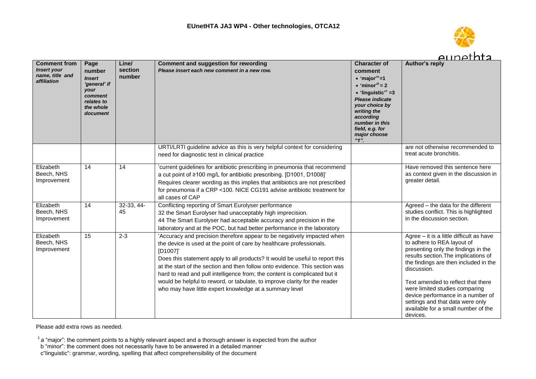

7 I T

|                                                                             |                                                                                                           |                            |                                                                                                                                                                                                                                                                                                                                                                                                                                                                                                                                                   |                                                                                                                                                                                                                                                                                 | <u>Alinethta</u>                                                                                                                                                                                                                                                                                                                                                                                                  |
|-----------------------------------------------------------------------------|-----------------------------------------------------------------------------------------------------------|----------------------------|---------------------------------------------------------------------------------------------------------------------------------------------------------------------------------------------------------------------------------------------------------------------------------------------------------------------------------------------------------------------------------------------------------------------------------------------------------------------------------------------------------------------------------------------------|---------------------------------------------------------------------------------------------------------------------------------------------------------------------------------------------------------------------------------------------------------------------------------|-------------------------------------------------------------------------------------------------------------------------------------------------------------------------------------------------------------------------------------------------------------------------------------------------------------------------------------------------------------------------------------------------------------------|
| <b>Comment from</b><br><b>Insert your</b><br>name, title and<br>affiliation | Page<br>number<br><b>Insert</b><br>'general' if<br>your<br>comment<br>relates to<br>the whole<br>document | Line/<br>section<br>number | <b>Comment and suggestion for rewording</b><br>Please insert each new comment in a new row.                                                                                                                                                                                                                                                                                                                                                                                                                                                       | <b>Character of</b><br>comment<br>• 'major' <sup>a</sup> =1<br>$\bullet$ 'minor <sup>'b</sup> = 2<br>$\bullet$ 'linguistic' <sup>c</sup> =3<br><b>Please indicate</b><br>your choice by<br>writing the<br>according<br>number in this<br>field, e.g. for<br>major choose<br>"1" | <b>Author's reply</b>                                                                                                                                                                                                                                                                                                                                                                                             |
|                                                                             |                                                                                                           |                            | URTI/LRTI guideline advice as this is very helpful context for considering<br>need for diagnostic test in clinical practice                                                                                                                                                                                                                                                                                                                                                                                                                       |                                                                                                                                                                                                                                                                                 | are not otherwise recommended to<br>treat acute bronchitis.                                                                                                                                                                                                                                                                                                                                                       |
| Elizabeth<br>Beech, NHS<br>Improvement                                      | 14                                                                                                        | 14                         | 'current guidelines for antibiotic prescribing in pneumonia that recommend<br>a cut point of ≥100 mg/L for antibiotic prescribing. [D1001, D1008]'<br>Requires clearer wording as this implies that antibiotics are not prescribed<br>for pneumonia if a CRP <100. NICE CG191 advise antibiotic treatment for<br>all cases of CAP                                                                                                                                                                                                                 |                                                                                                                                                                                                                                                                                 | Have removed this sentence here<br>as context given in the discussion in<br>greater detail.                                                                                                                                                                                                                                                                                                                       |
| Elizabeth<br>Beech, NHS<br>Improvement                                      | 14                                                                                                        | $32-33, 44-$<br>45         | Conflicting reporting of Smart Eurolyser performance<br>32 the Smart Eurolyser had unacceptably high imprecision.<br>44 The Smart Eurolyser had acceptable accuracy and precision in the<br>laboratory and at the POC, but had better performance in the laboratory                                                                                                                                                                                                                                                                               |                                                                                                                                                                                                                                                                                 | Agreed - the data for the different<br>studies conflict. This is highlighted<br>in the discussion section.                                                                                                                                                                                                                                                                                                        |
| Elizabeth<br>Beech, NHS<br>Improvement                                      | 15                                                                                                        | $2 - 3$                    | 'Accuracy and precision therefore appear to be negatively impacted when<br>the device is used at the point of care by healthcare professionals.<br>[D1007]'<br>Does this statement apply to all products? It would be useful to report this<br>at the start of the section and then follow onto evidence. This section was<br>hard to read and pull intelligence from; the content is complicated but it<br>would be helpful to reword, or tabulate, to improve clarity for the reader<br>who may have little expert knowledge at a summary level |                                                                                                                                                                                                                                                                                 | Agree - it is a little difficult as have<br>to adhere to REA layout of<br>presenting only the findings in the<br>results section. The implications of<br>the findings are then included in the<br>discussion.<br>Text amended to reflect that there<br>were limited studies comparing<br>device performance in a number of<br>settings and that data were only<br>available for a small number of the<br>devices. |

Please add extra rows as needed.

 $1$  a "major": the comment points to a highly relevant aspect and a thorough answer is expected from the author

b "minor": the comment does not necessarily have to be answered in a detailed manner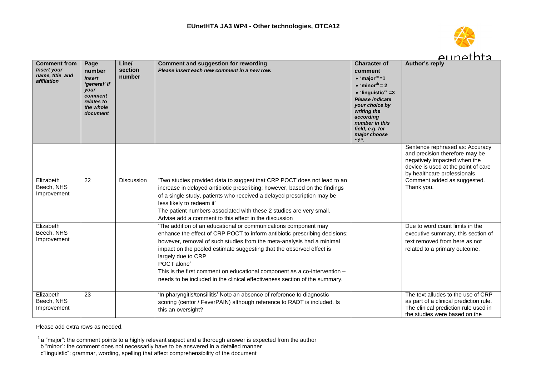

|                                                                             |                                                                                                           |                            |                                                                                                                                                                                                                                                                                                                                                                                                                                                                                                |                                                                                                                                                                                                                                                                                         | eunethta                                                                                                                                                                 |
|-----------------------------------------------------------------------------|-----------------------------------------------------------------------------------------------------------|----------------------------|------------------------------------------------------------------------------------------------------------------------------------------------------------------------------------------------------------------------------------------------------------------------------------------------------------------------------------------------------------------------------------------------------------------------------------------------------------------------------------------------|-----------------------------------------------------------------------------------------------------------------------------------------------------------------------------------------------------------------------------------------------------------------------------------------|--------------------------------------------------------------------------------------------------------------------------------------------------------------------------|
| <b>Comment from</b><br><b>Insert your</b><br>name, title and<br>affiliation | Page<br>number<br><b>Insert</b><br>'general' if<br>your<br>comment<br>relates to<br>the whole<br>document | Line/<br>section<br>number | <b>Comment and suggestion for rewording</b><br>Please insert each new comment in a new row.                                                                                                                                                                                                                                                                                                                                                                                                    | <b>Character of</b><br>comment<br>$\bullet$ 'major' <sup>a</sup> =1<br>$\bullet$ 'minor' <sup>b</sup> = 2<br>$\bullet$ 'linguistic' <sup>c</sup> =3<br><b>Please indicate</b><br>your choice by<br>writing the<br>according<br>number in this<br>field, e.g. for<br>major choose<br>"1" | <b>Author's reply</b>                                                                                                                                                    |
|                                                                             |                                                                                                           |                            |                                                                                                                                                                                                                                                                                                                                                                                                                                                                                                |                                                                                                                                                                                                                                                                                         | Sentence rephrased as: Accuracy<br>and precision therefore may be<br>negatively impacted when the<br>device is used at the point of care<br>by healthcare professionals. |
| Elizabeth<br>Beech, NHS<br>Improvement                                      | $\overline{22}$                                                                                           | Discussion                 | 'Two studies provided data to suggest that CRP POCT does not lead to an<br>increase in delayed antibiotic prescribing; however, based on the findings<br>of a single study, patients who received a delayed prescription may be<br>less likely to redeem it'<br>The patient numbers associated with these 2 studies are very small.<br>Advise add a comment to this effect in the discussion                                                                                                   |                                                                                                                                                                                                                                                                                         | Comment added as suggested.<br>Thank you.                                                                                                                                |
| Elizabeth<br>Beech, NHS<br>Improvement                                      |                                                                                                           |                            | 'The addition of an educational or communications component may<br>enhance the effect of CRP POCT to inform antibiotic prescribing decisions;<br>however, removal of such studies from the meta-analysis had a minimal<br>impact on the pooled estimate suggesting that the observed effect is<br>largely due to CRP<br>POCT alone'<br>This is the first comment on educational component as a co-intervention -<br>needs to be included in the clinical effectiveness section of the summary. |                                                                                                                                                                                                                                                                                         | Due to word count limits in the<br>executive summary, this section of<br>text removed from here as not<br>related to a primary outcome.                                  |
| Elizabeth<br>Beech, NHS<br>Improvement                                      | 23                                                                                                        |                            | 'In pharyngitis/tonsillitis' Note an absence of reference to diagnostic<br>scoring (centor / FeverPAIN) although reference to RADT is included. Is<br>this an oversight?                                                                                                                                                                                                                                                                                                                       |                                                                                                                                                                                                                                                                                         | The text alludes to the use of CRP<br>as part of a clinical prediction rule.<br>The clinical prediction rule used in<br>the studies were based on the                    |

 $1$  a "major": the comment points to a highly relevant aspect and a thorough answer is expected from the author

b "minor": the comment does not necessarily have to be answered in a detailed manner

c"linguistic": grammar, wording, spelling that affect comprehensibility of the document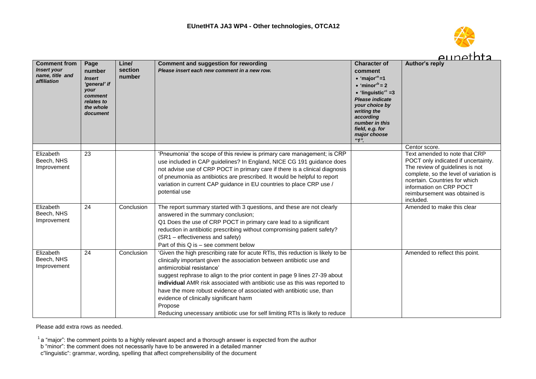

 $-1$ 

|                                                                             |                                                                                                           |                            |                                                                                                                                                                                                                                                                                                                                                                                                                                                                                                                                                                   |                                                                                                                                                                                                                                                                                 | <u>Alinethta</u>                                                                                                                                                                                                                                                             |
|-----------------------------------------------------------------------------|-----------------------------------------------------------------------------------------------------------|----------------------------|-------------------------------------------------------------------------------------------------------------------------------------------------------------------------------------------------------------------------------------------------------------------------------------------------------------------------------------------------------------------------------------------------------------------------------------------------------------------------------------------------------------------------------------------------------------------|---------------------------------------------------------------------------------------------------------------------------------------------------------------------------------------------------------------------------------------------------------------------------------|------------------------------------------------------------------------------------------------------------------------------------------------------------------------------------------------------------------------------------------------------------------------------|
| <b>Comment from</b><br><b>Insert your</b><br>name, title and<br>affiliation | Page<br>number<br><b>Insert</b><br>'general' if<br>your<br>comment<br>relates to<br>the whole<br>document | Line/<br>section<br>number | <b>Comment and suggestion for rewording</b><br>Please insert each new comment in a new row.                                                                                                                                                                                                                                                                                                                                                                                                                                                                       | <b>Character of</b><br>comment<br>• 'major' <sup>a</sup> =1<br>$\bullet$ 'minor <sup>'b</sup> = 2<br>$\bullet$ 'linguistic' <sup>c</sup> =3<br><b>Please indicate</b><br>your choice by<br>writing the<br>according<br>number in this<br>field, e.g. for<br>major choose<br>"1" | <b>Author's reply</b>                                                                                                                                                                                                                                                        |
| Elizabeth<br>Beech, NHS<br>Improvement                                      | 23                                                                                                        |                            | 'Pneumonia' the scope of this review is primary care management; is CRP<br>use included in CAP guidelines? In England, NICE CG 191 guidance does<br>not advise use of CRP POCT in primary care if there is a clinical diagnosis<br>of pneumonia as antibiotics are prescribed. It would be helpful to report<br>variation in current CAP guidance in EU countries to place CRP use /<br>potential use                                                                                                                                                             |                                                                                                                                                                                                                                                                                 | Centor score.<br>Text amended to note that CRP<br>POCT only indicated if uncertainty.<br>The review of guidelines is not<br>complete, so the level of variation is<br>ncertain. Countries for which<br>information on CRP POCT<br>reimbursement was obtained is<br>included. |
| Elizabeth<br>Beech, NHS<br>Improvement                                      | 24                                                                                                        | Conclusion                 | The report summary started with 3 questions, and these are not clearly<br>answered in the summary conclusion;<br>Q1 Does the use of CRP POCT in primary care lead to a significant<br>reduction in antibiotic prescribing without compromising patient safety?<br>(SR1 – effectiveness and safety)<br>Part of this Q is - see comment below                                                                                                                                                                                                                       |                                                                                                                                                                                                                                                                                 | Amended to make this clear                                                                                                                                                                                                                                                   |
| Elizabeth<br>Beech, NHS<br>Improvement                                      | 24                                                                                                        | Conclusion                 | 'Given the high prescribing rate for acute RTIs, this reduction is likely to be<br>clinically important given the association between antibiotic use and<br>antimicrobial resistance'<br>suggest rephrase to align to the prior content in page 9 lines 27-39 about<br>individual AMR risk associated with antibiotic use as this was reported to<br>have the more robust evidence of associated with antibiotic use, than<br>evidence of clinically significant harm<br>Propose<br>Reducing unecessary antibiotic use for self limiting RTIs is likely to reduce |                                                                                                                                                                                                                                                                                 | Amended to reflect this point.                                                                                                                                                                                                                                               |

Please add extra rows as needed.

- b "minor": the comment does not necessarily have to be answered in a detailed manner
- c"linguistic": grammar, wording, spelling that affect comprehensibility of the document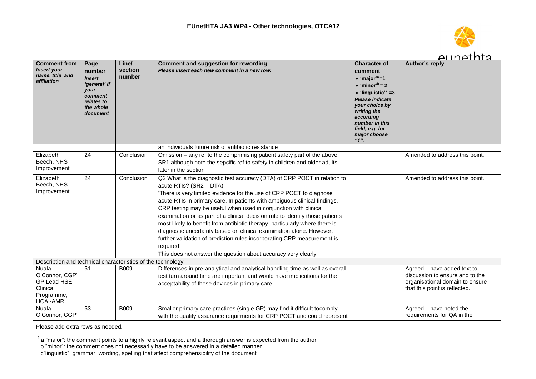

|                                                                                             |                                                                                                           |                            |                                                                                                                                                                                                                                                                                                                                                                                                                                                                                                                                                                                                                                                                                                                              |                                                                                                                                                                                                                                                                                 | <u>Alinethta</u>                                                                                                                   |
|---------------------------------------------------------------------------------------------|-----------------------------------------------------------------------------------------------------------|----------------------------|------------------------------------------------------------------------------------------------------------------------------------------------------------------------------------------------------------------------------------------------------------------------------------------------------------------------------------------------------------------------------------------------------------------------------------------------------------------------------------------------------------------------------------------------------------------------------------------------------------------------------------------------------------------------------------------------------------------------------|---------------------------------------------------------------------------------------------------------------------------------------------------------------------------------------------------------------------------------------------------------------------------------|------------------------------------------------------------------------------------------------------------------------------------|
| <b>Comment from</b><br><b>Insert your</b><br>name, title and<br>affiliation                 | Page<br>number<br><b>Insert</b><br>'general' if<br>your<br>comment<br>relates to<br>the whole<br>document | Line/<br>section<br>number | <b>Comment and suggestion for rewording</b><br>Please insert each new comment in a new row.                                                                                                                                                                                                                                                                                                                                                                                                                                                                                                                                                                                                                                  | <b>Character of</b><br>comment<br>$\bullet$ 'maior' <sup>a</sup> =1<br>$\bullet$ 'minor' <sup>b</sup> = 2<br>$\bullet$ 'linguistic' <sup>c</sup> =3<br>Please indicate<br>your choice by<br>writing the<br>according<br>number in this<br>field, e.g. for<br>major choose<br>4" | Author's reply                                                                                                                     |
|                                                                                             |                                                                                                           |                            | an individuals future risk of antibiotic resistance                                                                                                                                                                                                                                                                                                                                                                                                                                                                                                                                                                                                                                                                          |                                                                                                                                                                                                                                                                                 |                                                                                                                                    |
| Elizabeth<br>Beech, NHS<br>Improvement                                                      | 24                                                                                                        | Conclusion                 | Omission – any ref to the comprimising patient safety part of the above<br>SR1 although note the sepcific ref to safety in children and older adults<br>later in the section                                                                                                                                                                                                                                                                                                                                                                                                                                                                                                                                                 |                                                                                                                                                                                                                                                                                 | Amended to address this point.                                                                                                     |
| Elizabeth<br>Beech, NHS<br>Improvement                                                      | 24                                                                                                        | Conclusion                 | Q2 What is the diagnostic test accuracy (DTA) of CRP POCT in relation to<br>acute RTIs? (SR2 - DTA)<br>'There is very limited evidence for the use of CRP POCT to diagnose<br>acute RTIs in primary care. In patients with ambiguous clinical findings,<br>CRP testing may be useful when used in conjunction with clinical<br>examination or as part of a clinical decision rule to identify those patients<br>most likely to benefit from antibiotic therapy, particularly where there is<br>diagnostic uncertainty based on clinical examination alone. However,<br>further validation of prediction rules incorporating CRP measurement is<br>required'<br>This does not answer the question about accuracy very clearly |                                                                                                                                                                                                                                                                                 | Amended to address this point.                                                                                                     |
| Description and technical characteristics of the technology                                 |                                                                                                           |                            |                                                                                                                                                                                                                                                                                                                                                                                                                                                                                                                                                                                                                                                                                                                              |                                                                                                                                                                                                                                                                                 |                                                                                                                                    |
| <b>Nuala</b><br>O'Connor, ICGP'<br>GP Lead HSE<br>Clinical<br>Programme,<br><b>HCAI-AMR</b> | 51                                                                                                        | <b>B009</b>                | Differences in pre-analytical and analytical handling time as well as overall<br>test turn around time are important and would have implications for the<br>acceptability of these devices in primary care                                                                                                                                                                                                                                                                                                                                                                                                                                                                                                                   |                                                                                                                                                                                                                                                                                 | Agreed - have added text to<br>discussion to ensure and to the<br>organisational domain to ensure<br>that this point is reflected. |
| <b>Nuala</b><br>O'Connor, ICGP'                                                             | 53                                                                                                        | <b>B009</b>                | Smaller primary care practices (single GP) may find it difficult tocomply<br>with the quality assurance requirments for CRP POCT and could represent                                                                                                                                                                                                                                                                                                                                                                                                                                                                                                                                                                         |                                                                                                                                                                                                                                                                                 | Agreed - have noted the<br>requirements for QA in the                                                                              |

 $1$  a "major": the comment points to a highly relevant aspect and a thorough answer is expected from the author

b "minor": the comment does not necessarily have to be answered in a detailed manner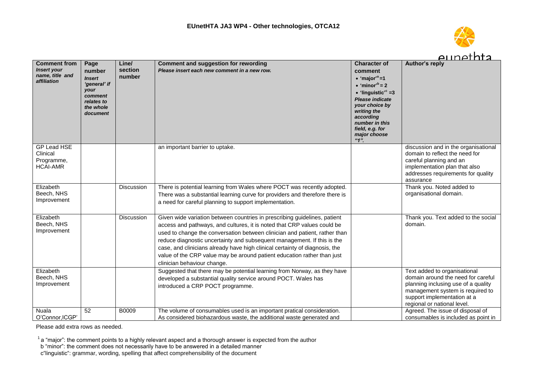

|                                                                             |                                                                                                           |                            |                                                                                                                                                                                                                                                                                                                                                                                                                                                                                                        |                                                                                                                                                                                                                                                                                           | <u>aunethta</u>                                                                                                                                                                                             |
|-----------------------------------------------------------------------------|-----------------------------------------------------------------------------------------------------------|----------------------------|--------------------------------------------------------------------------------------------------------------------------------------------------------------------------------------------------------------------------------------------------------------------------------------------------------------------------------------------------------------------------------------------------------------------------------------------------------------------------------------------------------|-------------------------------------------------------------------------------------------------------------------------------------------------------------------------------------------------------------------------------------------------------------------------------------------|-------------------------------------------------------------------------------------------------------------------------------------------------------------------------------------------------------------|
| <b>Comment from</b><br><b>Insert your</b><br>name, title and<br>affiliation | Page<br>number<br><b>Insert</b><br>'general' if<br>your<br>comment<br>relates to<br>the whole<br>document | Line/<br>section<br>number | <b>Comment and suggestion for rewording</b><br>Please insert each new comment in a new row.                                                                                                                                                                                                                                                                                                                                                                                                            | <b>Character of</b><br>comment<br>$\cdot$ 'major' <sup>a</sup> =1<br>$\bullet$ 'minor <sup>b</sup> = 2<br>$\bullet$ 'linguistic' <sup>c</sup> =3<br>Please indicate<br>your choice by<br>writing the<br>according<br>number in this<br>field, e.g. for<br>major choose<br>$4\overline{1}$ | <b>Author's reply</b>                                                                                                                                                                                       |
| GP Lead HSE<br>Clinical<br>Programme,<br><b>HCAI-AMR</b>                    |                                                                                                           |                            | an important barrier to uptake.                                                                                                                                                                                                                                                                                                                                                                                                                                                                        |                                                                                                                                                                                                                                                                                           | discussion and in the organisational<br>domain to reflect the need for<br>careful planning and an<br>implementation plan that also<br>addresses requirements for quality<br>assurance                       |
| Elizabeth<br>Beech, NHS<br>Improvement                                      |                                                                                                           | Discussion                 | There is potential learning from Wales where POCT was recently adopted.<br>There was a substantial learning curve for providers and therefore there is<br>a need for careful planning to support implementation.                                                                                                                                                                                                                                                                                       |                                                                                                                                                                                                                                                                                           | Thank you. Noted added to<br>organisational domain.                                                                                                                                                         |
| Elizabeth<br>Beech, NHS<br>Improvement                                      |                                                                                                           | Discussion                 | Given wide variation between countries in prescribing guidelines, patient<br>access and pathways, and cultures, it is noted that CRP values could be<br>used to change the conversation between clinician and patient, rather than<br>reduce diagnostic uncertainty and subsequent management. If this is the<br>case, and clinicians already have high clinical certainty of diagnosis, the<br>value of the CRP value may be around patient education rather than just<br>clinician behaviour change. |                                                                                                                                                                                                                                                                                           | Thank you. Text added to the social<br>domain.                                                                                                                                                              |
| Elizabeth<br>Beech, NHS<br>Improvement                                      |                                                                                                           |                            | Suggested that there may be potential learning from Norway, as they have<br>developed a substantial quality service around POCT. Wales has<br>introduced a CRP POCT programme.                                                                                                                                                                                                                                                                                                                         |                                                                                                                                                                                                                                                                                           | Text added to organisational<br>domain around the need for careful<br>planning inclusing use of a quality<br>management system is required to<br>support implementation at a<br>regional or national level. |
| <b>Nuala</b><br>O'Connor, ICGP'                                             | 52                                                                                                        | B0009                      | The volume of consumables used is an important pratical consideration.<br>As considered biohazardous waste, the additional waste generated and                                                                                                                                                                                                                                                                                                                                                         |                                                                                                                                                                                                                                                                                           | Agreed. The issue of disposal of<br>consumables is included as point in                                                                                                                                     |

- b "minor": the comment does not necessarily have to be answered in a detailed manner
- c"linguistic": grammar, wording, spelling that affect comprehensibility of the document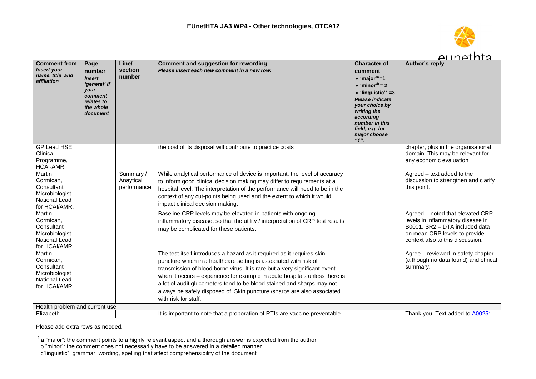

 $\mathbf{1}$ 

|                                                                                       |                                                                                                           |                                       |                                                                                                                                                                                                                                                                                                                                                                                                                                                                                      |                                                                                                                                                                                                                                                                                | <u>Alinethta</u>                                                                                                                                                             |
|---------------------------------------------------------------------------------------|-----------------------------------------------------------------------------------------------------------|---------------------------------------|--------------------------------------------------------------------------------------------------------------------------------------------------------------------------------------------------------------------------------------------------------------------------------------------------------------------------------------------------------------------------------------------------------------------------------------------------------------------------------------|--------------------------------------------------------------------------------------------------------------------------------------------------------------------------------------------------------------------------------------------------------------------------------|------------------------------------------------------------------------------------------------------------------------------------------------------------------------------|
| <b>Comment from</b><br><b>Insert your</b><br>name, title and<br>affiliation           | Page<br>number<br><b>Insert</b><br>'general' if<br>your<br>comment<br>relates to<br>the whole<br>document | Line/<br>section<br>number            | <b>Comment and suggestion for rewording</b><br>Please insert each new comment in a new row.                                                                                                                                                                                                                                                                                                                                                                                          | <b>Character of</b><br>comment<br>• 'major' <sup>a</sup> =1<br>$\bullet$ 'minor <sup>b</sup> = 2<br>$\bullet$ 'linguistic' <sup>c</sup> =3<br><b>Please indicate</b><br>your choice by<br>writing the<br>according<br>number in this<br>field, e.g. for<br>major choose<br>"1" | <b>Author's reply</b>                                                                                                                                                        |
| GP Lead HSE<br>Clinical<br>Programme,<br><b>HCAI-AMR</b>                              |                                                                                                           |                                       | the cost of its disposal will contribute to practice costs                                                                                                                                                                                                                                                                                                                                                                                                                           |                                                                                                                                                                                                                                                                                | chapter, plus in the organisational<br>domain. This may be relevant for<br>any economic evaluation                                                                           |
| Martin<br>Cormican,<br>Consultant<br>Microbiologist<br>National Lead<br>for HCAI/AMR. |                                                                                                           | Summary /<br>Anaytical<br>performance | While analytical performance of device is important, the level of accuracy<br>to inform good clinical decision making may differ to requirements at a<br>hospital level. The interpretation of the performance will need to be in the<br>context of any cut-points being used and the extent to which it would<br>impact clinical decision making.                                                                                                                                   |                                                                                                                                                                                                                                                                                | Agreed - text added to the<br>discussion to strengthen and clarify<br>this point.                                                                                            |
| Martin<br>Cormican,<br>Consultant<br>Microbiologist<br>National Lead<br>for HCAI/AMR. |                                                                                                           |                                       | Baseline CRP levels may be elevated in patients with ongoing<br>inflammatory disease, so that the utility / interpretation of CRP test results<br>may be complicated for these patients.                                                                                                                                                                                                                                                                                             |                                                                                                                                                                                                                                                                                | Agreed - noted that elevated CRP<br>levels in inflammatory disease in<br>B0001. SR2 - DTA included data<br>on mean CRP levels to provide<br>context also to this discussion. |
| Martin<br>Cormican.<br>Consultant<br>Microbiologist<br>National Lead<br>for HCAI/AMR. |                                                                                                           |                                       | The test itself introduces a hazard as it required as it requires skin<br>puncture which in a healthcare setting is associated with risk of<br>transmission of blood borne virus. It is rare but a very significant event<br>when it occurs - experience for example in acute hospitals unless there is<br>a lot of audit glucometers tend to be blood stained and sharps may not<br>always be safely disposed of. Skin puncture /sharps are also associated<br>with risk for staff. |                                                                                                                                                                                                                                                                                | Agree - reviewed in safety chapter<br>(although no data found) and ethical<br>summary.                                                                                       |
| Health problem and current use                                                        |                                                                                                           |                                       |                                                                                                                                                                                                                                                                                                                                                                                                                                                                                      |                                                                                                                                                                                                                                                                                |                                                                                                                                                                              |
| Elizabeth                                                                             |                                                                                                           |                                       | It is important to note that a proporation of RTIs are vaccine preventable                                                                                                                                                                                                                                                                                                                                                                                                           |                                                                                                                                                                                                                                                                                | Thank you. Text added to A0025:                                                                                                                                              |

Please add extra rows as needed.

 $1$  a "major": the comment points to a highly relevant aspect and a thorough answer is expected from the author

b "minor": the comment does not necessarily have to be answered in a detailed manner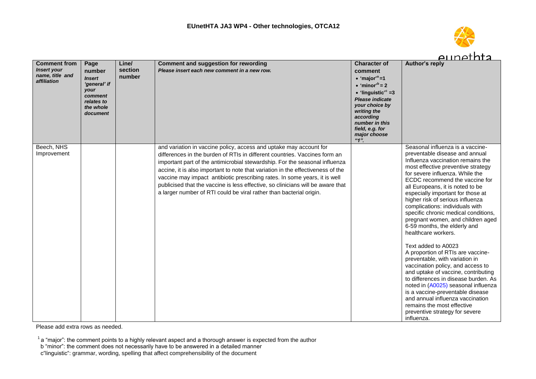

|                                                                             |                                                                                                           |                            |                                                                                                                                                                                                                                                                                                                                                                                                                                                                                                                                                            |                                                                                                                                                                                                                                                                                         | <u>Alinethra</u>                                                                                                                                                                                                                                                                                                                                                                                                                                                                                                                                                                                                                                                                                                                                                                                                                                                                                                      |
|-----------------------------------------------------------------------------|-----------------------------------------------------------------------------------------------------------|----------------------------|------------------------------------------------------------------------------------------------------------------------------------------------------------------------------------------------------------------------------------------------------------------------------------------------------------------------------------------------------------------------------------------------------------------------------------------------------------------------------------------------------------------------------------------------------------|-----------------------------------------------------------------------------------------------------------------------------------------------------------------------------------------------------------------------------------------------------------------------------------------|-----------------------------------------------------------------------------------------------------------------------------------------------------------------------------------------------------------------------------------------------------------------------------------------------------------------------------------------------------------------------------------------------------------------------------------------------------------------------------------------------------------------------------------------------------------------------------------------------------------------------------------------------------------------------------------------------------------------------------------------------------------------------------------------------------------------------------------------------------------------------------------------------------------------------|
| <b>Comment from</b><br><b>Insert your</b><br>name, title and<br>affiliation | Page<br>number<br><b>Insert</b><br>'general' if<br>your<br>comment<br>relates to<br>the whole<br>document | Line/<br>section<br>number | <b>Comment and suggestion for rewording</b><br>Please insert each new comment in a new row.                                                                                                                                                                                                                                                                                                                                                                                                                                                                | <b>Character of</b><br>comment<br>$\bullet$ 'major' <sup>a</sup> =1<br>$\bullet$ 'minor <sup>'b</sup> = 2<br>$\bullet$ 'linguistic' <sup>c</sup> =3<br><b>Please indicate</b><br>your choice by<br>writing the<br>according<br>number in this<br>field, e.g. for<br>major choose<br>"1" | Author's reply                                                                                                                                                                                                                                                                                                                                                                                                                                                                                                                                                                                                                                                                                                                                                                                                                                                                                                        |
| Beech, NHS<br>Improvement                                                   |                                                                                                           |                            | and variation in vaccine policy, access and uptake may account for<br>differences in the burden of RTIs in different countries. Vaccines form an<br>important part of the antimicrobial stewardship. For the seasonal influenza<br>accine, it is also important to note that variation in the effectiveness of the<br>vaccine may impact antibiotic prescribing rates. In some years, it is well<br>publicised that the vaccine is less effective, so clinicians will be aware that<br>a larger number of RTI could be viral rather than bacterial origin. |                                                                                                                                                                                                                                                                                         | Seasonal influenza is a vaccine-<br>preventable disease and annual<br>Influenza vaccination remains the<br>most effective preventive strategy<br>for severe influenza. While the<br>ECDC recommend the vaccine for<br>all Europeans, it is noted to be<br>especially important for those at<br>higher risk of serious influenza<br>complications: individuals with<br>specific chronic medical conditions,<br>pregnant women, and children aged<br>6-59 months, the elderly and<br>healthcare workers.<br>Text added to A0023<br>A proportion of RTIs are vaccine-<br>preventable, with variation in<br>vaccination policy, and access to<br>and uptake of vaccine, contributing<br>to differences in disease burden. As<br>noted in (A0025) seasonal influenza<br>is a vaccine-preventable disease<br>and annual influenza vaccination<br>remains the most effective<br>preventive strategy for severe<br>influenza. |

b "minor": the comment does not necessarily have to be answered in a detailed manner

 $1$  a "major": the comment points to a highly relevant aspect and a thorough answer is expected from the author

c"linguistic": grammar, wording, spelling that affect comprehensibility of the document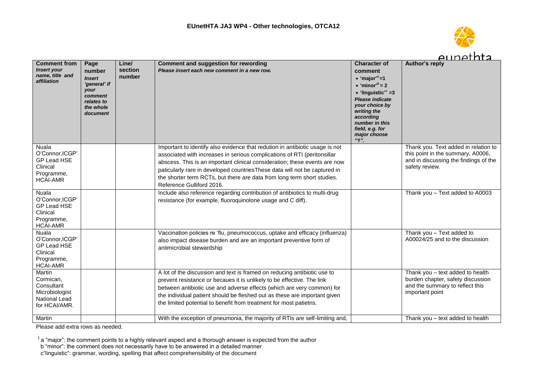

|                                                                                                    |                                                                                                           |                            |                                                                                                                                                                                                                                                                                                                                                                                                                              |                                                                                                                                                                                                                                                                                     | <u>aunethta</u>                                                                                                                      |
|----------------------------------------------------------------------------------------------------|-----------------------------------------------------------------------------------------------------------|----------------------------|------------------------------------------------------------------------------------------------------------------------------------------------------------------------------------------------------------------------------------------------------------------------------------------------------------------------------------------------------------------------------------------------------------------------------|-------------------------------------------------------------------------------------------------------------------------------------------------------------------------------------------------------------------------------------------------------------------------------------|--------------------------------------------------------------------------------------------------------------------------------------|
| <b>Comment from</b><br><b>Insert your</b><br>name, title and<br>affiliation                        | Page<br>number<br><b>Insert</b><br>'general' if<br>your<br>comment<br>relates to<br>the whole<br>document | Line/<br>section<br>number | <b>Comment and suggestion for rewording</b><br>Please insert each new comment in a new row.                                                                                                                                                                                                                                                                                                                                  | <b>Character of</b><br>comment<br>• 'major' <sup>a</sup> =1<br>$\bullet$ 'minor' <sup>b</sup> = 2<br>$\bullet$ 'linguistic' <sup>c</sup> =3<br>Please indicate<br>your choice by<br>writing the<br>according<br>number in this<br>field, e.g. for<br>major choose<br>4 <sup>n</sup> | <b>Author's reply</b>                                                                                                                |
| $N$ uala<br>O'Connor, ICGP'<br><b>GP Lead HSE</b><br>Clinical<br>Programme,<br><b>HCAI-AMR</b>     |                                                                                                           |                            | Important to identify also evidence that redution in antibiotic usage is not<br>associated with increases in serious complications of RTI (peritonsillar<br>abscess. This is an important clinical consideration; these events are now<br>paticularly rare in developed countries These data will not be captured in<br>the shorter term RCTs, but there are data from long term short studies.<br>Reference Gulliford 2016. |                                                                                                                                                                                                                                                                                     | Thank you. Text added in relation to<br>this point in the summary, A0006,<br>and in discussing the findings of the<br>safety review. |
| <b>Nuala</b><br>O'Connor, ICGP'<br><b>GP Lead HSE</b><br>Clinical<br>Programme,<br><b>HCAI-AMR</b> |                                                                                                           |                            | Include also reference regarding contribution of antibiotics to multi-drug<br>resistance (for example, fluoroquinolone usage and C diff).                                                                                                                                                                                                                                                                                    |                                                                                                                                                                                                                                                                                     | Thank you - Text added to A0003                                                                                                      |
| <b>Nuala</b><br>O'Connor, ICGP'<br>GP Lead HSE<br>Clinical<br>Programme,<br><b>HCAI-AMR</b>        |                                                                                                           |                            | Vaccination policies re 'flu, pneumococcus, uptake and efficacy (influenza)<br>also impact disease burden and are an important preventive form of<br>antimicrobial stewardship                                                                                                                                                                                                                                               |                                                                                                                                                                                                                                                                                     | Thank you - Text added to<br>A00024/25 and to the discussion                                                                         |
| Martin<br>Cormican.<br>Consultant<br>Microbiologist<br>National Lead<br>for HCAI/AMR.              |                                                                                                           |                            | A lot of the discussion and text is framed on reducing antibiotic use to<br>prevent resistance or becaues it is unlikely to be effective. The link<br>between antibiotic use and adverse effects (which are very common) for<br>the individual patient should be fleshed out as these are important given<br>the limited potential to benefit from treatment for most patietns.                                              |                                                                                                                                                                                                                                                                                     | Thank you - text added to health<br>burden chapter, safety discussion<br>and the summary to reflect this<br>important point          |
| Martin                                                                                             |                                                                                                           |                            | With the exception of pneumonia, the majority of RTIs are self-limiting and,                                                                                                                                                                                                                                                                                                                                                 |                                                                                                                                                                                                                                                                                     | Thank you - text added to health                                                                                                     |

 $1$  a "major": the comment points to a highly relevant aspect and a thorough answer is expected from the author

b "minor": the comment does not necessarily have to be answered in a detailed manner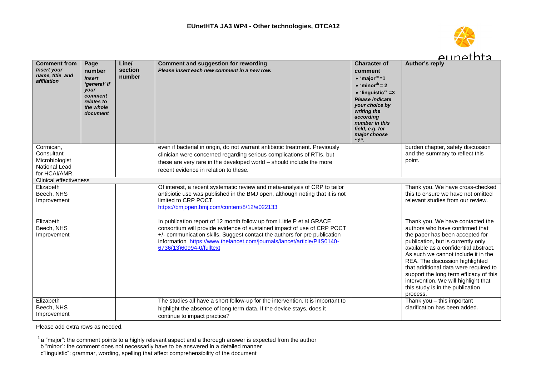

|                                                                                                              |                                                                                                           |                            |                                                                                                                                                                                                                                                                                                                                      |                                                                                                                                                                                                                                                                                     | eunethta                                                                                                                                                                                                                                                                                                                                                                                                                                   |
|--------------------------------------------------------------------------------------------------------------|-----------------------------------------------------------------------------------------------------------|----------------------------|--------------------------------------------------------------------------------------------------------------------------------------------------------------------------------------------------------------------------------------------------------------------------------------------------------------------------------------|-------------------------------------------------------------------------------------------------------------------------------------------------------------------------------------------------------------------------------------------------------------------------------------|--------------------------------------------------------------------------------------------------------------------------------------------------------------------------------------------------------------------------------------------------------------------------------------------------------------------------------------------------------------------------------------------------------------------------------------------|
| <b>Comment from</b><br><b>Insert your</b><br>name, title and<br>affiliation                                  | Page<br>number<br><b>Insert</b><br>'general' if<br>your<br>comment<br>relates to<br>the whole<br>document | Line/<br>section<br>number | <b>Comment and suggestion for rewording</b><br>Please insert each new comment in a new row.                                                                                                                                                                                                                                          | <b>Character of</b><br>comment<br>• 'major' <sup>a</sup> =1<br>$\bullet$ 'minor' <sup>b</sup> = 2<br>$\bullet$ 'linguistic' <sup>c</sup> =3<br>Please indicate<br>your choice by<br>writing the<br>according<br>number in this<br>field, e.g. for<br>major choose<br>4 <sup>n</sup> | <b>Author's reply</b>                                                                                                                                                                                                                                                                                                                                                                                                                      |
| Cormican,<br>Consultant<br>Microbiologist<br>National Lead<br>for HCAI/AMR.<br><b>Clinical effectiveness</b> |                                                                                                           |                            | even if bacterial in origin, do not warrant antibiotic treatment. Previously<br>clinician were concerned regarding serious complications of RTIs, but<br>these are very rare in the developed world - should include the more<br>recent evidence in relation to these.                                                               |                                                                                                                                                                                                                                                                                     | burden chapter, safety discussion<br>and the summary to reflect this<br>point.                                                                                                                                                                                                                                                                                                                                                             |
| Elizabeth                                                                                                    |                                                                                                           |                            | Of interest, a recent systematic review and meta-analysis of CRP to tailor                                                                                                                                                                                                                                                           |                                                                                                                                                                                                                                                                                     | Thank you. We have cross-checked                                                                                                                                                                                                                                                                                                                                                                                                           |
| Beech, NHS<br>Improvement                                                                                    |                                                                                                           |                            | antibiotic use was published in the BMJ open, although noting that it is not<br>limited to CRP POCT.<br>https://bmjopen.bmj.com/content/8/12/e022133                                                                                                                                                                                 |                                                                                                                                                                                                                                                                                     | this to ensure we have not omitted<br>relevant studies from our review.                                                                                                                                                                                                                                                                                                                                                                    |
| Elizabeth<br>Beech, NHS<br>Improvement                                                                       |                                                                                                           |                            | In publication report of 12 month follow up from Little P et al GRACE<br>consortium will provide evidence of sustained impact of use of CRP POCT<br>+/- communication skills. Suggest contact the authors for pre publication<br>information https://www.thelancet.com/journals/lancet/article/PIIS0140-<br>6736(13)60994-0/fulltext |                                                                                                                                                                                                                                                                                     | Thank you. We have contacted the<br>authors who have confirmed that<br>the paper has been accepted for<br>publication, but is currently only<br>available as a confidential abstract.<br>As such we cannot include it in the<br>REA. The discussion highlighted<br>that additional data were required to<br>support the long term efficacy of this<br>intervention. We will highlight that<br>this study is in the publication<br>process. |
| Elizabeth<br>Beech, NHS<br>Improvement                                                                       |                                                                                                           |                            | The studies all have a short follow-up for the intervention. It is important to<br>highlight the absence of long term data. If the device stays, does it<br>continue to impact practice?                                                                                                                                             |                                                                                                                                                                                                                                                                                     | Thank you - this important<br>clarification has been added.                                                                                                                                                                                                                                                                                                                                                                                |

 $1$  a "major": the comment points to a highly relevant aspect and a thorough answer is expected from the author

b "minor": the comment does not necessarily have to be answered in a detailed manner

c"linguistic": grammar, wording, spelling that affect comprehensibility of the document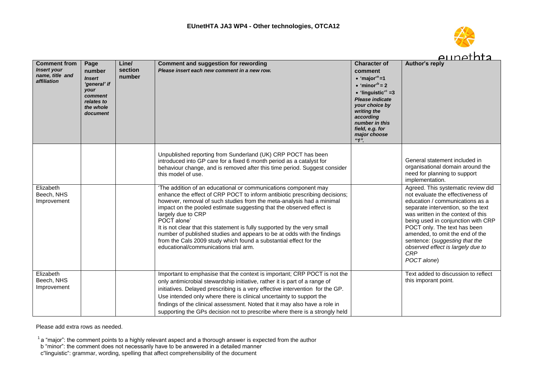

|                                                                             |                                                                                                           |                            |                                                                                                                                                                                                                                                                                                                                                                                                                                                                                                                                                                                                          |                                                                                                                                                                                                                                                                                        | <u>Alinethta</u>                                                                                                                                                                                                                                                                                                                                                                                    |
|-----------------------------------------------------------------------------|-----------------------------------------------------------------------------------------------------------|----------------------------|----------------------------------------------------------------------------------------------------------------------------------------------------------------------------------------------------------------------------------------------------------------------------------------------------------------------------------------------------------------------------------------------------------------------------------------------------------------------------------------------------------------------------------------------------------------------------------------------------------|----------------------------------------------------------------------------------------------------------------------------------------------------------------------------------------------------------------------------------------------------------------------------------------|-----------------------------------------------------------------------------------------------------------------------------------------------------------------------------------------------------------------------------------------------------------------------------------------------------------------------------------------------------------------------------------------------------|
| <b>Comment from</b><br><b>Insert your</b><br>name, title and<br>affiliation | Page<br>number<br><b>Insert</b><br>'general' if<br>your<br>comment<br>relates to<br>the whole<br>document | Line/<br>section<br>number | <b>Comment and suggestion for rewording</b><br>Please insert each new comment in a new row.                                                                                                                                                                                                                                                                                                                                                                                                                                                                                                              | <b>Character of</b><br>comment<br>$\bullet$ 'maior' <sup>a</sup> =1<br>$\bullet$ 'minor' <sup>b</sup> = 2<br>$\bullet$ 'linguistic' <sup>c</sup> =3<br><b>Please indicate</b><br>your choice by<br>writing the<br>according<br>number in this<br>field, e.g. for<br>major choose<br>4" | Author's reply                                                                                                                                                                                                                                                                                                                                                                                      |
|                                                                             |                                                                                                           |                            | Unpublished reporting from Sunderland (UK) CRP POCT has been<br>introduced into GP care for a fixed 6 month period as a catalyst for<br>behaviour change, and is removed after this time period. Suggest consider<br>this model of use.                                                                                                                                                                                                                                                                                                                                                                  |                                                                                                                                                                                                                                                                                        | General statement included in<br>organisational domain around the<br>need for planning to support<br>implementation.                                                                                                                                                                                                                                                                                |
| Elizabeth<br>Beech, NHS<br>Improvement                                      |                                                                                                           |                            | 'The addition of an educational or communications component may<br>enhance the effect of CRP POCT to inform antibiotic prescribing decisions;<br>however, removal of such studies from the meta-analysis had a minimal<br>impact on the pooled estimate suggesting that the observed effect is<br>largely due to CRP<br>POCT alone'<br>It is not clear that this statement is fully supported by the very small<br>number of published studies and appears to be at odds with the findings<br>from the Cals 2009 study which found a substantial effect for the<br>educational/communications trial arm. |                                                                                                                                                                                                                                                                                        | Agreed. This systematic review did<br>not evaluate the effectiveness of<br>education / communications as a<br>separate intervention, so the text<br>was written in the context of this<br>being used in conjunction with CRP<br>POCT only. The text has been<br>amended, to omit the end of the<br>sentence: (suggesting that the<br>observed effect is largely due to<br><b>CRP</b><br>POCT alone) |
| Elizabeth<br>Beech, NHS<br>Improvement                                      |                                                                                                           |                            | Important to emphasise that the context is important; CRP POCT is not the<br>only antimicrobial stewardship initiative, rather it is part of a range of<br>initiatives. Delayed prescribing is a very effective intervention for the GP.<br>Use intended only where there is clinical uncertainty to support the<br>findings of the clinical assessment. Noted that it may also have a role in<br>supporting the GPs decision not to prescribe where there is a strongly held                                                                                                                            |                                                                                                                                                                                                                                                                                        | Text added to discussion to reflect<br>this imporant point.                                                                                                                                                                                                                                                                                                                                         |

 $1$  a "major": the comment points to a highly relevant aspect and a thorough answer is expected from the author

b "minor": the comment does not necessarily have to be answered in a detailed manner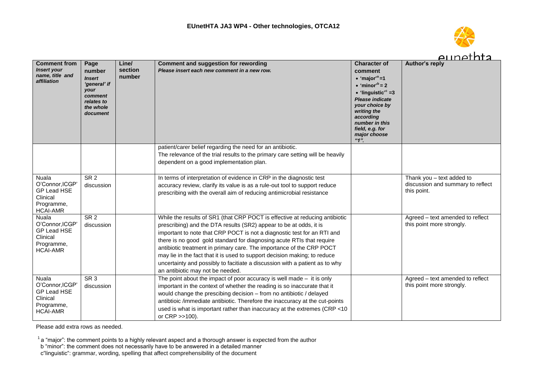

|                                                                                                   |                                                                                                           |                            |                                                                                                                                                                                                                                                                                                                                                                                                                                                                                                                                                                               |                                                                                                                                                                                                                                                                                              | <u>Alinethra</u>                                                              |
|---------------------------------------------------------------------------------------------------|-----------------------------------------------------------------------------------------------------------|----------------------------|-------------------------------------------------------------------------------------------------------------------------------------------------------------------------------------------------------------------------------------------------------------------------------------------------------------------------------------------------------------------------------------------------------------------------------------------------------------------------------------------------------------------------------------------------------------------------------|----------------------------------------------------------------------------------------------------------------------------------------------------------------------------------------------------------------------------------------------------------------------------------------------|-------------------------------------------------------------------------------|
| <b>Comment from</b><br><b>Insert your</b><br>name, title and<br>affiliation                       | Page<br>number<br><b>Insert</b><br>'general' if<br>your<br>comment<br>relates to<br>the whole<br>document | Line/<br>section<br>number | <b>Comment and suggestion for rewording</b><br>Please insert each new comment in a new row.                                                                                                                                                                                                                                                                                                                                                                                                                                                                                   | <b>Character of</b><br>comment<br>$\bullet$ 'maior' <sup>a</sup> =1<br>$\bullet$ 'minor' <sup>b</sup> = 2<br>$\bullet$ 'linguistic' <sup>c</sup> =3<br>Please indicate<br>your choice by<br>writing the<br>according<br>number in this<br>field, e.g. for<br>major choose<br>$4\overline{1}$ | Author's reply                                                                |
|                                                                                                   |                                                                                                           |                            | patient/carer belief regarding the need for an antibiotic.<br>The relevance of the trial results to the primary care setting will be heavily<br>dependent on a good implementation plan.                                                                                                                                                                                                                                                                                                                                                                                      |                                                                                                                                                                                                                                                                                              |                                                                               |
| <b>Nuala</b><br>O'Connor.ICGP<br>GP Lead HSE<br>Clinical<br>Programme,<br><b>HCAI-AMR</b>         | SR <sub>2</sub><br>discussion                                                                             |                            | In terms of interpretation of evidence in CRP in the diagnostic test<br>accuracy review, clarify its value is as a rule-out tool to support reduce<br>prescribing with the overall aim of reducing antimicrobial resistance                                                                                                                                                                                                                                                                                                                                                   |                                                                                                                                                                                                                                                                                              | Thank you - text added to<br>discussion and summary to reflect<br>this point. |
| <b>Nuala</b><br>O'Connor.ICGP'<br><b>GP Lead HSE</b><br>Clinical<br>Programme,<br><b>HCAI-AMR</b> | $SR$ 2<br>discussion                                                                                      |                            | While the results of SR1 (that CRP POCT is effective at reducing antibiotic<br>prescribing) and the DTA results (SR2) appear to be at odds, it is<br>important to note that CRP POCT is not a diagnostic test for an RTI and<br>there is no good gold standard for diagnosing acute RTIs that require<br>antibiotic treatment in primary care. The importance of the CRP POCT<br>may lie in the fact that it is used to support decision making; to reduce<br>uncertainty and possibly to facitiate a discussion with a patient as to why<br>an antibiotic may not be needed. |                                                                                                                                                                                                                                                                                              | Agreed - text amended to reflect<br>this point more strongly.                 |
| <b>Nuala</b><br>O'Connor.ICGP'<br>GP Lead HSE<br>Clinical<br>Programme,<br><b>HCAI-AMR</b>        | $SR$ 3<br>discussion                                                                                      |                            | The point about the impact of poor accuracy is well made $-$ it is only<br>important in the context of whether the reading is so inaccurate that it<br>would change the prescibing decision - from no antibiotic / delayed<br>antibtioic /immediate antibiotic. Therefore the inaccuracy at the cut-points<br>used is what is important rather than inaccuracy at the extremes (CRP <10<br>or CRP >>100).                                                                                                                                                                     |                                                                                                                                                                                                                                                                                              | Agreed – text amended to reflect<br>this point more strongly.                 |

b "minor": the comment does not necessarily have to be answered in a detailed manner

c"linguistic": grammar, wording, spelling that affect comprehensibility of the document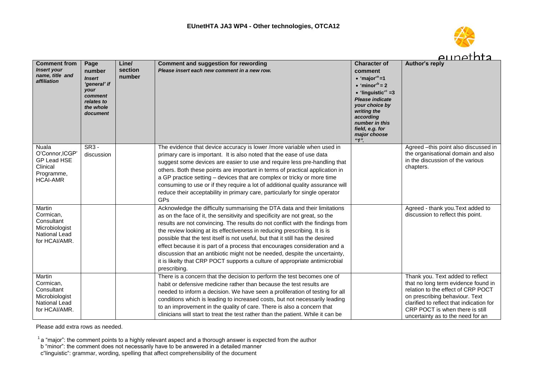

|                                           |                        |                  |                                                                                             |                                                                        | eunernta                                                                  |                                 |
|-------------------------------------------|------------------------|------------------|---------------------------------------------------------------------------------------------|------------------------------------------------------------------------|---------------------------------------------------------------------------|---------------------------------|
| <b>Comment from</b><br><b>Insert your</b> | Page<br>number         | Line/<br>section | <b>Comment and suggestion for rewording</b><br>Please insert each new comment in a new row. | <b>Character of</b><br>comment                                         | Author's reply                                                            |                                 |
| name, title and<br>affiliation            | <b>Insert</b>          | number           |                                                                                             | $\bullet$ 'major' <sup>a</sup> =1                                      |                                                                           |                                 |
|                                           | 'general' if           |                  |                                                                                             | $\bullet$ 'minor' <sup>b</sup> = 2                                     |                                                                           |                                 |
|                                           | <b>your</b><br>comment |                  |                                                                                             | $\bullet$ 'linguistic' <sup>c</sup> =3                                 |                                                                           |                                 |
|                                           | relates to             |                  |                                                                                             | Please indicate                                                        |                                                                           |                                 |
|                                           | the whole              |                  |                                                                                             | your choice by<br>writing the                                          |                                                                           |                                 |
|                                           | document               |                  |                                                                                             | according                                                              |                                                                           |                                 |
|                                           |                        |                  |                                                                                             | number in this                                                         |                                                                           |                                 |
|                                           |                        |                  |                                                                                             | field, e.g. for                                                        |                                                                           |                                 |
|                                           |                        |                  |                                                                                             | major choose<br>$4n$ .                                                 |                                                                           |                                 |
| <b>Nuala</b>                              | SR3 -                  |                  | The evidence that device accuracy is lower /more variable when used in                      |                                                                        | Agreed -this point also discussed in                                      |                                 |
| O'Connor, ICGP                            | discussion             |                  | primary care is important. It is also noted that the ease of use data                       |                                                                        | the organisational domain and also<br>in the discussion of the various    |                                 |
| GP Lead HSE                               |                        |                  | suggest some devices are easier to use and require less pre-handling that                   |                                                                        |                                                                           |                                 |
| Clinical<br>Programme,                    |                        |                  | others. Both these points are important in terms of practical application in                |                                                                        | chapters.                                                                 |                                 |
| <b>HCAI-AMR</b>                           |                        |                  | a GP practice setting – devices that are complex or tricky or more time                     |                                                                        |                                                                           |                                 |
|                                           |                        |                  | consuming to use or if they require a lot of additional quality assurance will              |                                                                        |                                                                           |                                 |
|                                           |                        |                  | reduce their acceptability in primary care, particularly for single operator                |                                                                        |                                                                           |                                 |
|                                           |                        |                  | GPs                                                                                         |                                                                        |                                                                           |                                 |
| Martin                                    |                        |                  | Acknowledge the difficulty summarising the DTA data and their limitations                   |                                                                        | Agreed - thank you. Text added to                                         |                                 |
| Cormican.                                 |                        |                  | as on the face of it, the sensitivity and specificity are not great, so the                 |                                                                        | discussion to reflect this point.                                         |                                 |
| Consultant<br>Microbiologist              |                        |                  | results are not convincing. The results do not conflict with the findings from              |                                                                        |                                                                           |                                 |
| National Lead                             |                        |                  | the review looking at its effectiveness in reducing prescribing. It is is                   |                                                                        |                                                                           |                                 |
| for HCAI/AMR.                             |                        |                  | possible that the test itself is not useful, but that it still has the desired              |                                                                        |                                                                           |                                 |
|                                           |                        |                  | effect because it is part of a process that encourages consideration and a                  |                                                                        |                                                                           |                                 |
|                                           |                        |                  | discussion that an antibiotic might not be needed, despite the uncertainty,                 |                                                                        |                                                                           |                                 |
|                                           |                        |                  | it is likelty that CRP POCT supports a culture of appropriate antimicrobial                 |                                                                        |                                                                           |                                 |
|                                           |                        |                  | prescribing.                                                                                |                                                                        |                                                                           |                                 |
| <b>Martin</b>                             |                        |                  | There is a concern that the decision to perform the test becomes one of                     |                                                                        | Thank you. Text added to reflect                                          |                                 |
| Cormican,<br>Consultant                   |                        |                  | habit or defensive medicine rather than because the test results are                        |                                                                        | that no long term evidence found in<br>relation to the effect of CRP POCT |                                 |
| Microbiologist                            |                        |                  | needed to inform a decision. We have seen a proliferation of testing for all                |                                                                        | on prescribing behaviour. Text                                            |                                 |
| National Lead                             |                        |                  | conditions which is leading to increased costs, but not necessarily leading                 |                                                                        | clarified to reflect that indication for                                  |                                 |
| for HCAI/AMR.                             |                        |                  |                                                                                             | to an improvement in the quality of care. There is also a concern that |                                                                           | CRP POCT is when there is still |
|                                           |                        |                  | clinicians will start to treat the test rather than the patient. While it can be            |                                                                        | uncertainty as to the need for an                                         |                                 |

 $1$  a "major": the comment points to a highly relevant aspect and a thorough answer is expected from the author

b "minor": the comment does not necessarily have to be answered in a detailed manner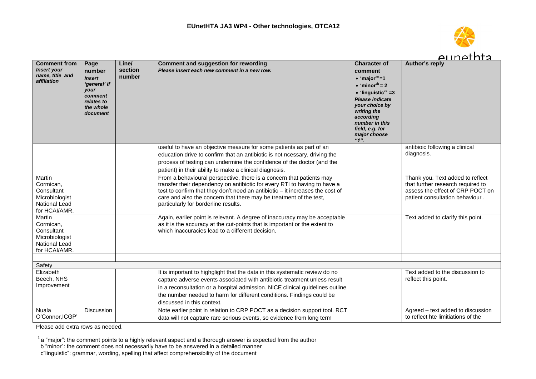

7 I T

|                                                                                              |                                                                                                           |                            |                                                                                                                                                                                                                                                                                                                                                  |                                                                                                                                                                                                                                                                                  | <u>Alinethta</u>                                                                                                                             |
|----------------------------------------------------------------------------------------------|-----------------------------------------------------------------------------------------------------------|----------------------------|--------------------------------------------------------------------------------------------------------------------------------------------------------------------------------------------------------------------------------------------------------------------------------------------------------------------------------------------------|----------------------------------------------------------------------------------------------------------------------------------------------------------------------------------------------------------------------------------------------------------------------------------|----------------------------------------------------------------------------------------------------------------------------------------------|
| <b>Comment from</b><br><b>Insert your</b><br>name, title and<br>affiliation                  | Page<br>number<br><b>Insert</b><br>'general' if<br>your<br>comment<br>relates to<br>the whole<br>document | Line/<br>section<br>number | <b>Comment and suggestion for rewording</b><br>Please insert each new comment in a new row.                                                                                                                                                                                                                                                      | <b>Character of</b><br>comment<br>$\bullet$ 'major' <sup>a</sup> =1<br>$\bullet$ 'minor' <sup>b</sup> = 2<br>$\bullet$ 'linguistic' <sup>c</sup> =3<br>Please indicate<br>your choice by<br>writing the<br>according<br>number in this<br>field, e.g. for<br>major choose<br>"1" | Author's reply                                                                                                                               |
|                                                                                              |                                                                                                           |                            | useful to have an objective measure for some patients as part of an<br>education drive to confirm that an antibiotic is not ncessary, driving the<br>process of testing can undermine the confidence of the doctor (and the<br>patient) in their ability to make a clinical diagnosis.                                                           |                                                                                                                                                                                                                                                                                  | antibioic following a clinical<br>diagnosis.                                                                                                 |
| Martin<br>Cormican,<br>Consultant<br>Microbiologist<br>National Lead<br>for HCAI/AMR.        |                                                                                                           |                            | From a behavioural perspective, there is a concern that patients may<br>transfer their dependency on antibiotic for every RTI to having to have a<br>test to confirm that they don't need an antibiotic - it increases the cost of<br>care and also the concern that there may be treatment of the test,<br>particularly for borderline results. |                                                                                                                                                                                                                                                                                  | Thank you. Text added to reflect<br>that further research required to<br>assess the effect of CRP POCT on<br>patient consultation behaviour. |
| Martin<br>Cormican,<br>Consultant<br>Microbiologist<br><b>National Lead</b><br>for HCAI/AMR. |                                                                                                           |                            | Again, earlier point is relevant. A degree of inaccuracy may be acceptable<br>as it is the accuracy at the cut-points that is important or the extent to<br>which inaccuracies lead to a different decision.                                                                                                                                     |                                                                                                                                                                                                                                                                                  | Text added to clarify this point.                                                                                                            |
| Safety                                                                                       |                                                                                                           |                            |                                                                                                                                                                                                                                                                                                                                                  |                                                                                                                                                                                                                                                                                  |                                                                                                                                              |
| Elizabeth<br>Beech, NHS<br>Improvement                                                       |                                                                                                           |                            | It is important to highglight that the data in this systematic review do no<br>capture adverse events associated with antibiotic treatment unless result<br>in a reconsultation or a hospital admission. NICE clinical guidelines outline<br>the number needed to harm for different conditions. Findings could be<br>discussed in this context. |                                                                                                                                                                                                                                                                                  | Text added to the discussion to<br>reflect this point.                                                                                       |
| <b>Nuala</b><br>O'Connor, ICGP'                                                              | <b>Discussion</b>                                                                                         |                            | Note earlier point in relation to CRP POCT as a decision support tool. RCT<br>data will not capture rare serious events, so evidence from long term                                                                                                                                                                                              |                                                                                                                                                                                                                                                                                  | Agreed – text added to discussion<br>to reflect hte limitiations of the                                                                      |

Please add extra rows as needed.

 $1$  a "major": the comment points to a highly relevant aspect and a thorough answer is expected from the author

b "minor": the comment does not necessarily have to be answered in a detailed manner